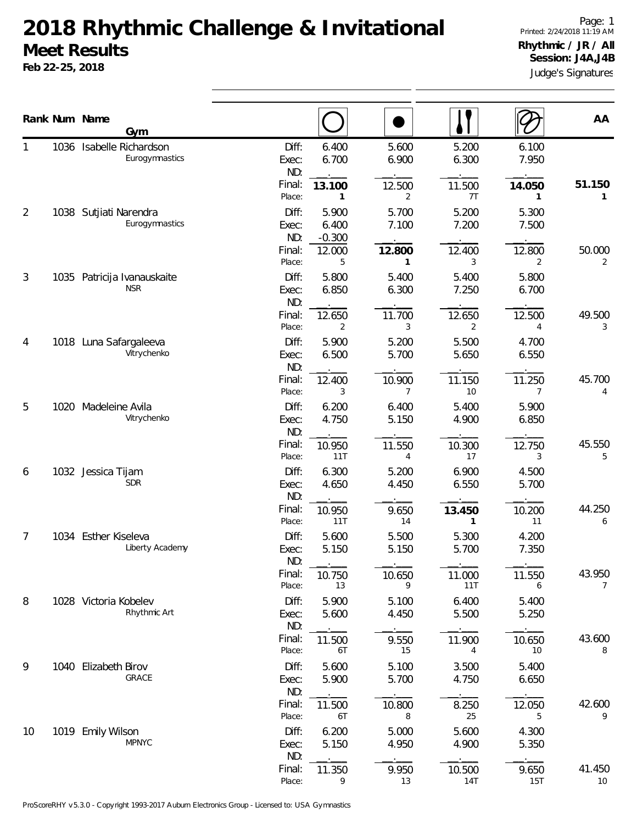## **2018 Rhythmic Challenge & Invitational Meet Results**

**Feb 22-25, 2018**

Judge's Signatures Page: 1 Printed: 2/24/2018 11:19 AM **Rhythmic / JR / All Session: J4A,J4B**

|    |      | Rank Num Name<br>Gym                     |                                           |                                           |                               |                                |                               | AA                        |
|----|------|------------------------------------------|-------------------------------------------|-------------------------------------------|-------------------------------|--------------------------------|-------------------------------|---------------------------|
|    | 1036 | Isabelle Richardson<br>Eurogymnastics    | Diff:<br>Exec:<br>ND:<br>Final:           | 6.400<br>6.700<br>13.100                  | 5.600<br>6.900<br>12.500      | 5.200<br>6.300<br>11.500       | 6.100<br>7.950<br>14.050      | 51.150                    |
| 2  |      | 1038 Sutjiati Narendra<br>Eurogymnastics | Place:<br>Diff:<br>Exec:<br>ND:<br>Final: | 1<br>5.900<br>6.400<br>$-0.300$<br>12.000 | 2<br>5.700<br>7.100<br>12.800 | 7T<br>5.200<br>7.200<br>12.400 | 5.300<br>7.500<br>12.800      | $\mathbf{1}$<br>50.000    |
| 3  | 1035 | Patricija Ivanauskaite<br><b>NSR</b>     | Place:<br>Diff:<br>Exec:<br>ND:<br>Final: | 5<br>5.800<br>6.850<br>12.650             | 1<br>5.400<br>6.300<br>11.700 | 3<br>5.400<br>7.250<br>12.650  | 2<br>5.800<br>6.700<br>12.500 | 2<br>49.500               |
| 4  |      | 1018 Luna Safargaleeva<br>Vitrychenko    | Place:<br>Diff:<br>Exec:<br>ND:           | 2<br>5.900<br>6.500                       | 3<br>5.200<br>5.700           | 2<br>5.500<br>5.650            | 4<br>4.700<br>6.550           | 3                         |
| 5  |      | 1020 Madeleine Avila<br>Vitrychenko      | Final:<br>Place:<br>Diff:<br>Exec:<br>ND: | 12.400<br>3<br>6.200<br>4.750             | 10.900<br>7<br>6.400<br>5.150 | 11.150<br>10<br>5.400<br>4.900 | 11.250<br>7<br>5.900<br>6.850 | 45.700<br>4               |
| 6  |      | 1032 Jessica Tijam<br><b>SDR</b>         | Final:<br>Place:<br>Diff:<br>Exec:        | 10.950<br>11T<br>6.300<br>4.650           | 11.550<br>4<br>5.200<br>4.450 | 10.300<br>17<br>6.900<br>6.550 | 12.750<br>3<br>4.500<br>5.700 | 45.550<br>5               |
| 7  |      | 1034 Esther Kiseleva                     | ND:<br>Final:<br>Place:<br>Diff:          | 10.950<br>11T<br>5.600                    | 9.650<br>14<br>5.500          | 13.450<br>1<br>5.300           | 10.200<br>11<br>4.200         | 44.250<br>6               |
|    |      | Liberty Academy                          | Exec:<br>ND:<br>Final:<br>Place:          | 5.150<br>10.750<br>13                     | 5.150<br>10.650<br>9          | 5.700<br>11.000<br>11T         | 7.350<br>11.550               | 43.950<br>$\overline{7}$  |
| 8  |      | 1028 Victoria Kobelev<br>Rhythmic Art    | Diff:<br>Exec:<br>ND:<br>Final:           | 5.900<br>5.600<br>11.500                  | 5.100<br>4.450<br>9.550       | 6.400<br>5.500<br>11.900       | 6<br>5.400<br>5.250<br>10.650 | 43.600                    |
| 9  |      | 1040 Elizabeth Birov<br>GRACE            | Place:<br>Diff:<br>Exec:<br>ND:           | 6T<br>5.600<br>5.900                      | 15<br>5.100<br>5.700          | 4<br>3.500<br>4.750            | 10<br>5.400<br>6.650          | 8                         |
| 10 |      | 1019 Emily Wilson                        | Final:<br>Place:<br>Diff:                 | 11.500<br>6T<br>6.200                     | 10.800<br>8<br>5.000          | 8.250<br>25<br>5.600           | 12.050<br>5<br>4.300          | 42.600<br>9               |
|    |      | <b>MPNYC</b>                             | Exec:<br>ND:<br>Final:<br>Place:          | 5.150<br>11.350<br>9                      | 4.950<br>9.950<br>13          | 4.900<br>10.500<br>14T         | 5.350<br>9.650<br>15T         | 41.450<br>10 <sup>°</sup> |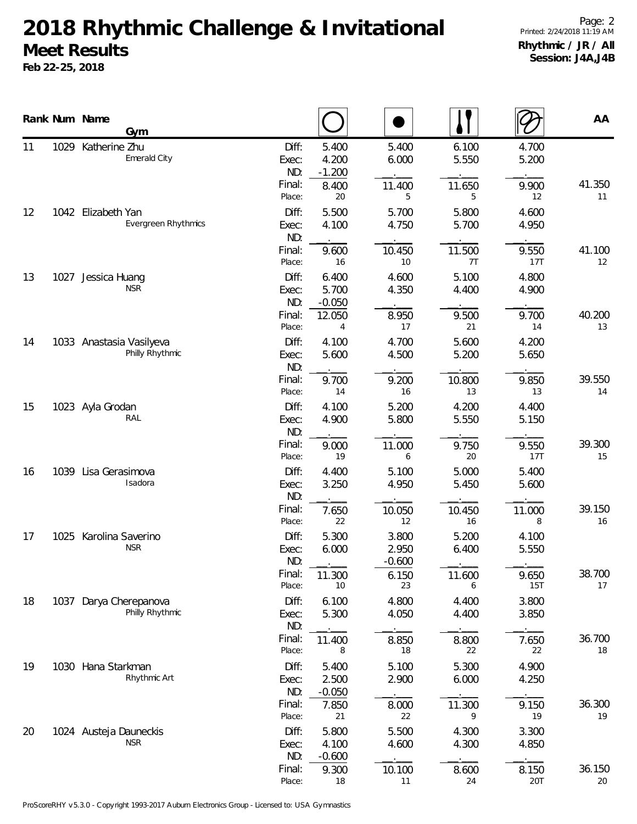## **2018 Rhythmic Challenge & Invitational Meet Results**

**Feb 22-25, 2018**

|    |      | Rank Num Name          | Gym                                         |                       |                            |                            |                |                | AA           |
|----|------|------------------------|---------------------------------------------|-----------------------|----------------------------|----------------------------|----------------|----------------|--------------|
| 11 | 1029 | Katherine Zhu          | Emerald City                                | Diff:<br>Exec:<br>ND: | 5.400<br>4.200<br>$-1.200$ | 5.400<br>6.000             | 6.100<br>5.550 | 4.700<br>5.200 |              |
|    |      |                        |                                             | Final:<br>Place:      | 8.400<br>20                | 11.400<br>5                | 11.650<br>5    | 9.900<br>12    | 41.350<br>11 |
| 12 |      | 1042 Elizabeth Yan     | Evergreen Rhythmics                         | Diff:<br>Exec:<br>ND: | 5.500<br>4.100             | 5.700<br>4.750             | 5.800<br>5.700 | 4.600<br>4.950 |              |
|    |      |                        |                                             | Final:<br>Place:      | 9.600<br>16                | 10.450<br>10               | 11.500<br>7T   | 9.550<br>17T   | 41.100<br>12 |
| 13 | 1027 | Jessica Huang          | <b>NSR</b>                                  | Diff:<br>Exec:<br>ND: | 6.400<br>5.700<br>$-0.050$ | 4.600<br>4.350             | 5.100<br>4.400 | 4.800<br>4.900 |              |
|    |      |                        |                                             | Final:<br>Place:      | 12.050<br>4                | 8.950<br>17                | 9.500<br>21    | 9.700<br>14    | 40.200<br>13 |
| 14 |      |                        | 1033 Anastasia Vasilyeva<br>Philly Rhythmic | Diff:<br>Exec:<br>ND: | 4.100<br>5.600             | 4.700<br>4.500             | 5.600<br>5.200 | 4.200<br>5.650 |              |
|    |      |                        |                                             | Final:<br>Place:      | 9.700<br>14                | 9.200<br>16                | 10.800<br>13   | 9.850<br>13    | 39.550<br>14 |
| 15 |      | 1023 Ayla Grodan       | RAL                                         | Diff:<br>Exec:<br>ND: | 4.100<br>4.900             | 5.200<br>5.800             | 4.200<br>5.550 | 4.400<br>5.150 |              |
|    |      |                        |                                             | Final:<br>Place:      | 9.000<br>19                | 11.000<br>6                | 9.750<br>20    | 9.550<br>17T   | 39.300<br>15 |
| 16 | 1039 | Lisa Gerasimova        | Isadora                                     | Diff:<br>Exec:<br>ND: | 4.400<br>3.250             | 5.100<br>4.950             | 5.000<br>5.450 | 5.400<br>5.600 |              |
|    |      |                        |                                             | Final:<br>Place:      | 7.650<br>22                | 10.050<br>12               | 10.450<br>16   | 11.000<br>8    | 39.150<br>16 |
| 17 |      | 1025 Karolina Saverino | <b>NSR</b>                                  | Diff:<br>Exec:<br>ND: | 5.300<br>6.000             | 3.800<br>2.950<br>$-0.600$ | 5.200<br>6.400 | 4.100<br>5.550 |              |
|    |      |                        |                                             | Final:<br>Place:      | 11.300<br>10               | 6.150<br>23                | 11.600<br>6    | 9.650<br>15T   | 38.700<br>17 |
| 18 | 1037 |                        | Darya Cherepanova<br>Philly Rhythmic        | Diff:<br>Exec:<br>ND: | 6.100<br>5.300             | 4.800<br>4.050             | 4.400<br>4.400 | 3.800<br>3.850 |              |
|    |      |                        |                                             | Final:<br>Place:      | 11.400<br>8                | 8.850<br>18                | 8.800<br>22    | 7.650<br>22    | 36.700<br>18 |
| 19 |      | 1030 Hana Starkman     | Rhythmic Art                                | Diff:<br>Exec:<br>ND: | 5.400<br>2.500<br>$-0.050$ | 5.100<br>2.900             | 5.300<br>6.000 | 4.900<br>4.250 |              |
|    |      |                        |                                             | Final:<br>Place:      | 7.850<br>21                | 8.000<br>22                | 11.300<br>9    | 9.150<br>19    | 36.300<br>19 |
| 20 |      |                        | 1024 Austeja Dauneckis<br><b>NSR</b>        | Diff:<br>Exec:<br>ND: | 5.800<br>4.100<br>$-0.600$ | 5.500<br>4.600             | 4.300<br>4.300 | 3.300<br>4.850 |              |
|    |      |                        |                                             | Final:<br>Place:      | 9.300<br>18                | 10.100<br>11               | 8.600<br>24    | 8.150<br>20T   | 36.150<br>20 |